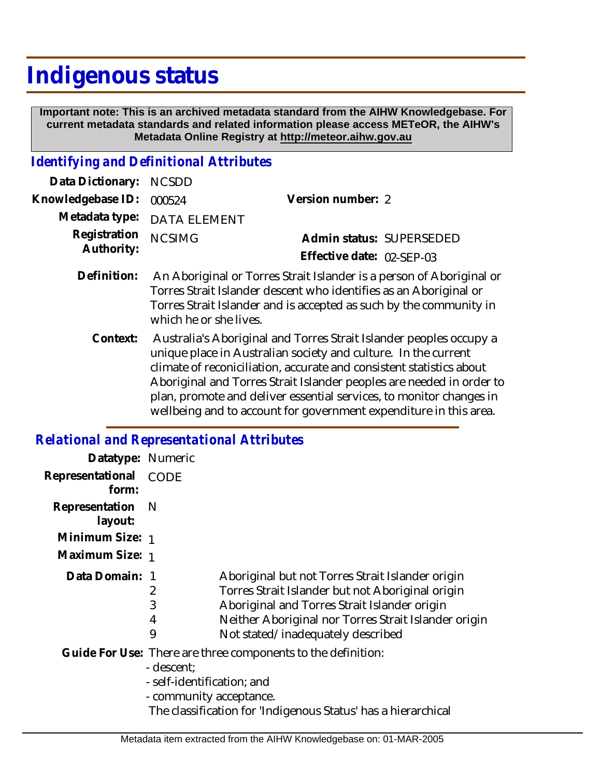# **Indigenous status**

 **Important note: This is an archived metadata standard from the AIHW Knowledgebase. For current metadata standards and related information please access METeOR, the AIHW's Metadata Online Registry at http://meteor.aihw.gov.au**

## *Identifying and Definitional Attributes*

| Data Dictionary: NCSDD            |                                                                 |                           |                          |
|-----------------------------------|-----------------------------------------------------------------|---------------------------|--------------------------|
| Knowledgebase ID: 000524          |                                                                 | Version number: 2         |                          |
|                                   | Metadata type: DATA ELEMENT                                     |                           |                          |
| Registration NCSIMG<br>Authority: |                                                                 |                           | Admin status: SUPERSEDED |
|                                   |                                                                 | Effective date: 02-SEP-03 |                          |
| Definition:                       | An Aboriginal or Torres Strait Islander is a person of Aborigin |                           |                          |

- An Aboriginal or Torres Strait Islander is a person of Aboriginal or Torres Strait Islander descent who identifies as an Aboriginal or Torres Strait Islander and is accepted as such by the community in which he or she lives. **Definition:**
	- Context: Australia's Aboriginal and Torres Strait Islander peoples occupy a unique place in Australian society and culture. In the current climate of reconiciliation, accurate and consistent statistics about Aboriginal and Torres Strait Islander peoples are needed in order to plan, promote and deliver essential services, to monitor changes in wellbeing and to account for government expenditure in this area.

#### *Relational and Representational Attributes*

| Datatype: Numeric         |                                                                     |                                                                                                                                                                                                                                                   |
|---------------------------|---------------------------------------------------------------------|---------------------------------------------------------------------------------------------------------------------------------------------------------------------------------------------------------------------------------------------------|
| Representational<br>form: | CODE                                                                |                                                                                                                                                                                                                                                   |
| Representation<br>layout: | - N                                                                 |                                                                                                                                                                                                                                                   |
| Minimum Size: 1           |                                                                     |                                                                                                                                                                                                                                                   |
| Maximum Size: 1           |                                                                     |                                                                                                                                                                                                                                                   |
| Data Domain: 1            | 2<br>3<br>4<br>9                                                    | Aboriginal but not Torres Strait Islander origin<br>Torres Strait Islander but not Aboriginal origin<br>Aboriginal and Torres Strait Islander origin<br>Neither Aboriginal nor Torres Strait Islander origin<br>Not stated/inadequately described |
|                           | - descent;<br>- self-identification; and<br>- community acceptance. | Guide For Use: There are three components to the definition:<br>The classification for 'Indigenous Status' has a hierarchical                                                                                                                     |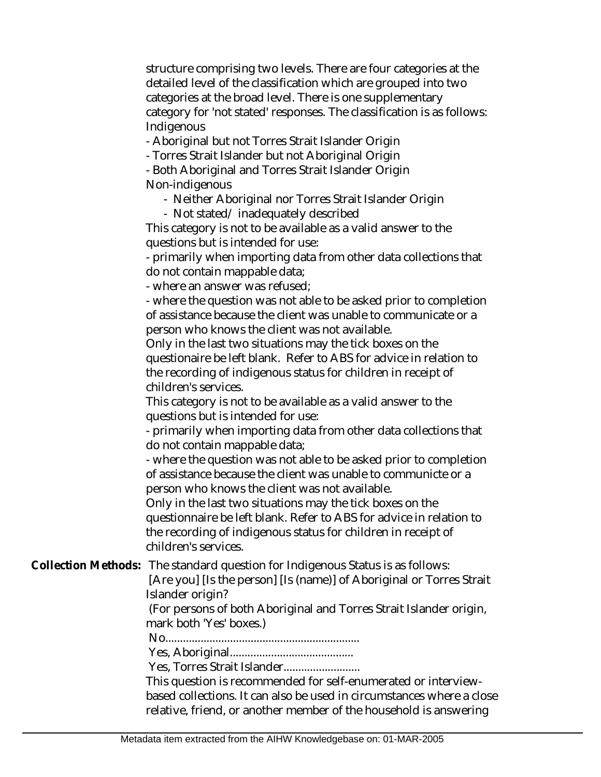structure comprising two levels. There are four categories at the detailed level of the classification which are grouped into two categories at the broad level. There is one supplementary category for 'not stated' responses. The classification is as follows: Indigenous

- Aboriginal but not Torres Strait Islander Origin

- Torres Strait Islander but not Aboriginal Origin

- Both Aboriginal and Torres Strait Islander Origin Non-indigenous

- Neither Aboriginal nor Torres Strait Islander Origin
- Not stated/ inadequately described

This category is not to be available as a valid answer to the questions but is intended for use:

- primarily when importing data from other data collections that do not contain mappable data;

- where an answer was refused;

- where the question was not able to be asked prior to completion of assistance because the client was unable to communicate or a person who knows the client was not available.

Only in the last two situations may the tick boxes on the questionaire be left blank. Refer to ABS for advice in relation to the recording of indigenous status for children in receipt of children's services.

This category is not to be available as a valid answer to the questions but is intended for use:

- primarily when importing data from other data collections that do not contain mappable data;

- where the question was not able to be asked prior to completion of assistance because the client was unable to communicte or a person who knows the client was not available.

Only in the last two situations may the tick boxes on the questionnaire be left blank. Refer to ABS for advice in relation to the recording of indigenous status for children in receipt of children's services.

Collection Methods: The standard question for Indigenous Status is as follows:

 [Are you] [Is the person] [Is (name)] of Aboriginal or Torres Strait Islander origin?

 (For persons of both Aboriginal and Torres Strait Islander origin, mark both 'Yes' boxes.)

No..................................................................

Yes, Aboriginal..........................................

Yes, Torres Strait Islander..........................

This question is recommended for self-enumerated or interviewbased collections. It can also be used in circumstances where a close relative, friend, or another member of the household is answering